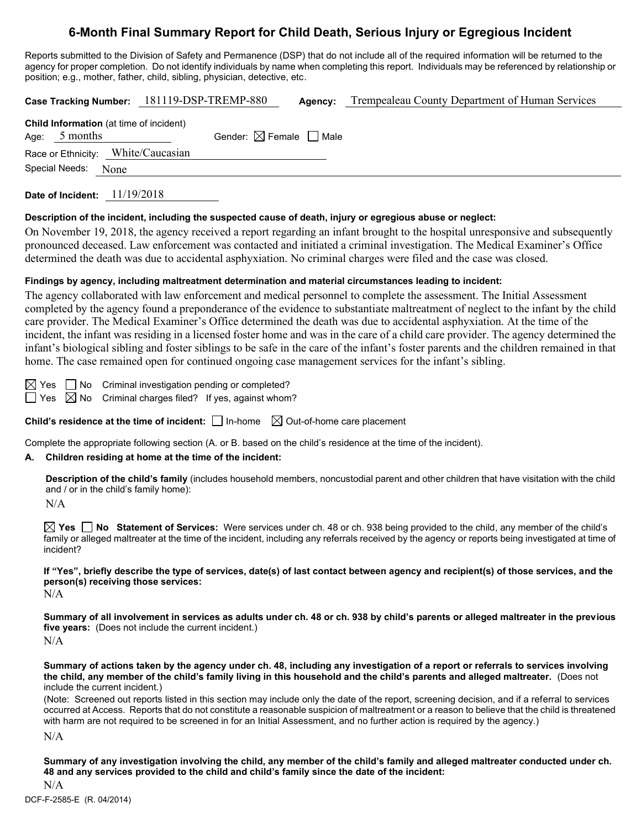# **6-Month Final Summary Report for Child Death, Serious Injury or Egregious Incident**

Reports submitted to the Division of Safety and Permanence (DSP) that do not include all of the required information will be returned to the agency for proper completion. Do not identify individuals by name when completing this report. Individuals may be referenced by relationship or position; e.g., mother, father, child, sibling, physician, detective, etc.

|                                                                   | Case Tracking Number: 181119-DSP-TREMP-880 | Agency: | Trempealeau County Department of Human Services |
|-------------------------------------------------------------------|--------------------------------------------|---------|-------------------------------------------------|
| <b>Child Information</b> (at time of incident)<br>Age: $5$ months | Gender: $\boxtimes$ Female $\Box$ Male     |         |                                                 |
| Race or Ethnicity: White/Caucasian                                |                                            |         |                                                 |
| Special Needs:<br>None                                            |                                            |         |                                                 |
|                                                                   |                                            |         |                                                 |

**Date of Incident:** 11/19/2018

# **Description of the incident, including the suspected cause of death, injury or egregious abuse or neglect:**

On November 19, 2018, the agency received a report regarding an infant brought to the hospital unresponsive and subsequently pronounced deceased. Law enforcement was contacted and initiated a criminal investigation. The Medical Examiner's Office determined the death was due to accidental asphyxiation. No criminal charges were filed and the case was closed.

# **Findings by agency, including maltreatment determination and material circumstances leading to incident:**

The agency collaborated with law enforcement and medical personnel to complete the assessment. The Initial Assessment completed by the agency found a preponderance of the evidence to substantiate maltreatment of neglect to the infant by the child care provider. The Medical Examiner's Office determined the death was due to accidental asphyxiation. At the time of the incident, the infant was residing in a licensed foster home and was in the care of a child care provider. The agency determined the infant's biological sibling and foster siblings to be safe in the care of the infant's foster parents and the children remained in that home. The case remained open for continued ongoing case management services for the infant's sibling.

 $\boxtimes$  Yes  $\Box$  No Criminal investigation pending or completed?  $\Box$  Yes  $\boxtimes$  No Criminal charges filed? If yes, against whom?

**Child's residence at the time of incident:**  $\Box$  In-home  $\Box$  Out-of-home care placement

Complete the appropriate following section (A. or B. based on the child's residence at the time of the incident).

# **A. Children residing at home at the time of the incident:**

**Description of the child's family** (includes household members, noncustodial parent and other children that have visitation with the child and / or in the child's family home):

 $N/A$ 

**Yes No Statement of Services:** Were services under ch. 48 or ch. 938 being provided to the child, any member of the child's family or alleged maltreater at the time of the incident, including any referrals received by the agency or reports being investigated at time of incident?

**If "Yes", briefly describe the type of services, date(s) of last contact between agency and recipient(s) of those services, and the person(s) receiving those services:**

N/A

**Summary of all involvement in services as adults under ch. 48 or ch. 938 by child's parents or alleged maltreater in the previous five years:** (Does not include the current incident.)  $N/A$ 

**Summary of actions taken by the agency under ch. 48, including any investigation of a report or referrals to services involving the child, any member of the child's family living in this household and the child's parents and alleged maltreater.** (Does not include the current incident.)

(Note: Screened out reports listed in this section may include only the date of the report, screening decision, and if a referral to services occurred at Access. Reports that do not constitute a reasonable suspicion of maltreatment or a reason to believe that the child is threatened with harm are not required to be screened in for an Initial Assessment, and no further action is required by the agency.)

N/A

**Summary of any investigation involving the child, any member of the child's family and alleged maltreater conducted under ch. 48 and any services provided to the child and child's family since the date of the incident:**